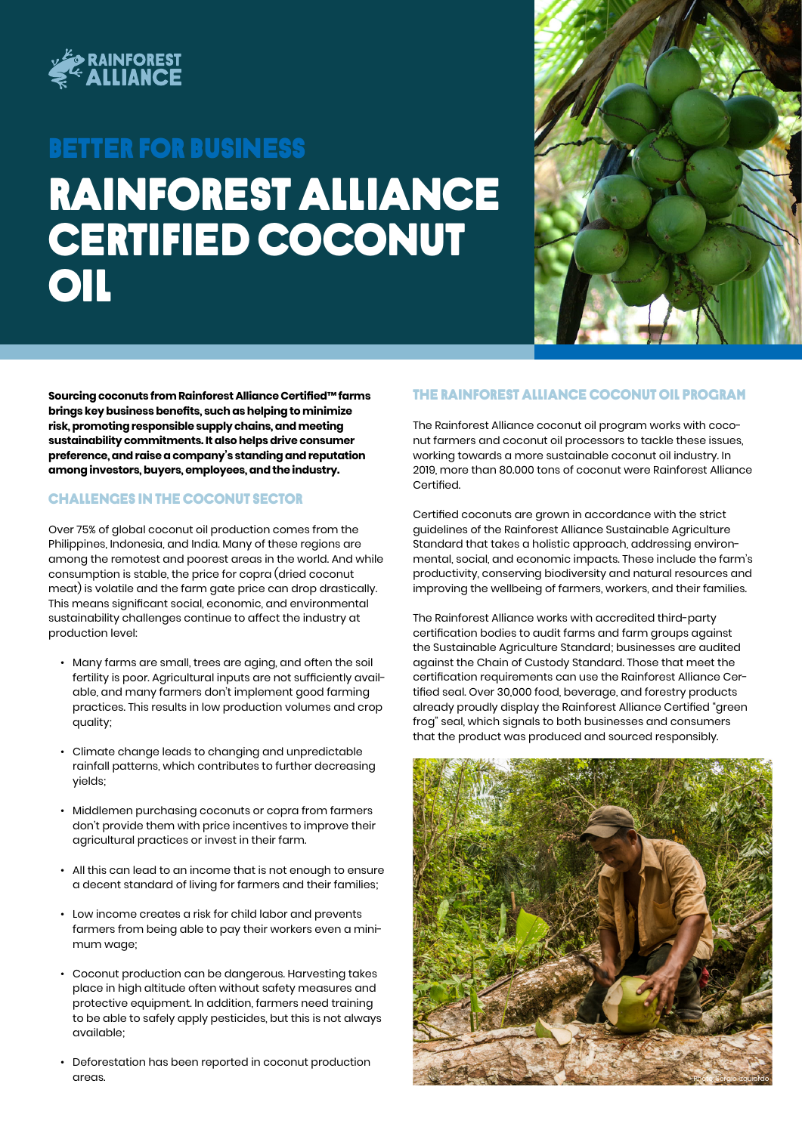

# Rainforest alliance certified coconut **OIL** Better FOR BUSINESS



**Sourcing coconuts from Rainforest Alliance Certified™ farms brings key business benefits, such as helping to minimize risk, promoting responsible supply chains, and meeting sustainability commitments. It also helps drive consumer preference, and raise a company's standing and reputation among investors, buyers, employees, and the industry.** 

### Challenges in the coconut sector

Over 75% of global coconut oil production comes from the Philippines, Indonesia, and India. Many of these regions are among the remotest and poorest areas in the world. And while consumption is stable, the price for copra (dried coconut meat) is volatile and the farm gate price can drop drastically. This means significant social, economic, and environmental sustainability challenges continue to affect the industry at production level:

- Many farms are small, trees are aging, and often the soil fertility is poor. Agricultural inputs are not sufficiently available, and many farmers don't implement good farming practices. This results in low production volumes and crop quality;
- Climate change leads to changing and unpredictable rainfall patterns, which contributes to further decreasing yields;
- Middlemen purchasing coconuts or copra from farmers don't provide them with price incentives to improve their agricultural practices or invest in their farm.
- All this can lead to an income that is not enough to ensure a decent standard of living for farmers and their families;
- Low income creates a risk for child labor and prevents farmers from being able to pay their workers even a minimum wage;
- Coconut production can be dangerous. Harvesting takes place in high altitude often without safety measures and protective equipment. In addition, farmers need training to be able to safely apply pesticides, but this is not always available;
- Deforestation has been reported in coconut production areas.

### The Rainforest Alliance coconut oil program

The Rainforest Alliance coconut oil program works with coconut farmers and coconut oil processors to tackle these issues, working towards a more sustainable coconut oil industry. In 2019, more than 80.000 tons of coconut were Rainforest Alliance Certified.

Certified coconuts are grown in accordance with the strict guidelines of the Rainforest Alliance Sustainable Agriculture Standard that takes a holistic approach, addressing environmental, social, and economic impacts. These include the farm's productivity, conserving biodiversity and natural resources and improving the wellbeing of farmers, workers, and their families.

The Rainforest Alliance works with accredited third-party certification bodies to audit farms and farm groups against the Sustainable Agriculture Standard; businesses are audited against the Chain of Custody Standard. Those that meet the certification requirements can use the Rainforest Alliance Certified seal. Over 30,000 food, beverage, and forestry products already proudly display the Rainforest Alliance Certified "green frog" seal, which signals to both businesses and consumers that the product was produced and sourced responsibly.